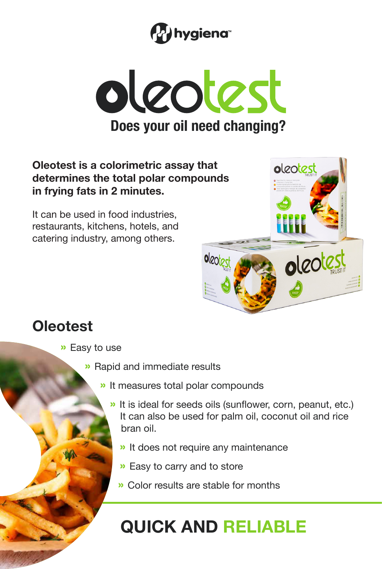



## **Oleotest is a colorimetric assay that determines the total polar compounds in frying fats in 2 minutes.**

It can be used in food industries, restaurants, kitchens, hotels, and catering industry, among others.



## **Oleotest**

- » Easy to use
	- » Rapid and immediate results
		- » It measures total polar compounds
			- » It is ideal for seeds oils (sunflower, corn, peanut, etc.) It can also be used for palm oil, coconut oil and rice bran oil.
				- » It does not require any maintenance
				- » Easy to carry and to store
				- » Color results are stable for months

## **QUICK AND RELIABLE**